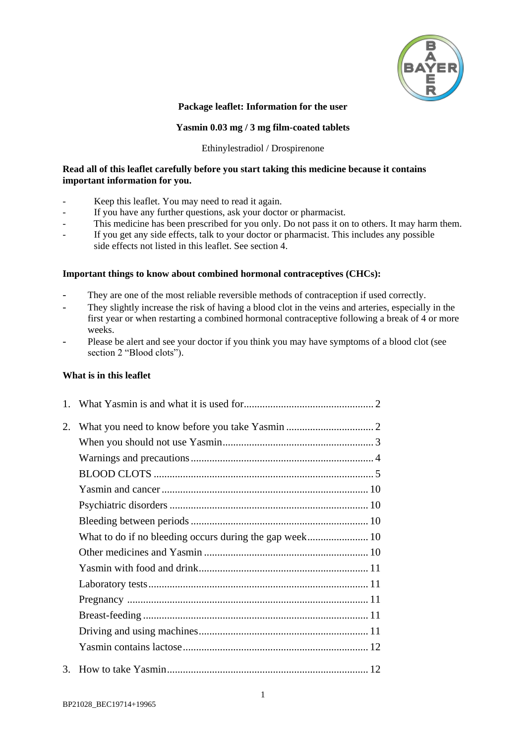

### **Package leaflet: Information for the user**

### **Yasmin 0.03 mg / 3 mg film-coated tablets**

#### Ethinylestradiol / Drospirenone

### **Read all of this leaflet carefully before you start taking this medicine because it contains important information for you.**

- Keep this leaflet. You may need to read it again.
- If you have any further questions, ask your doctor or pharmacist.
- This medicine has been prescribed for you only. Do not pass it on to others. It may harm them.
- If you get any side effects, talk to your doctor or pharmacist. This includes any possible side effects not listed in this leaflet. See section 4.

### **Important things to know about combined hormonal contraceptives (CHCs):**

- They are one of the most reliable reversible methods of contraception if used correctly.
- They slightly increase the risk of having a blood clot in the veins and arteries, especially in the first year or when restarting a combined hormonal contraceptive following a break of 4 or more weeks.
- Please be alert and see your doctor if you think you may have symptoms of a blood clot (see section 2 "Blood clots").

### **What is in this leaflet**

| 2. |  |
|----|--|
|    |  |
|    |  |
|    |  |
|    |  |
|    |  |
|    |  |
|    |  |
|    |  |
|    |  |
|    |  |
|    |  |
|    |  |
|    |  |
|    |  |
|    |  |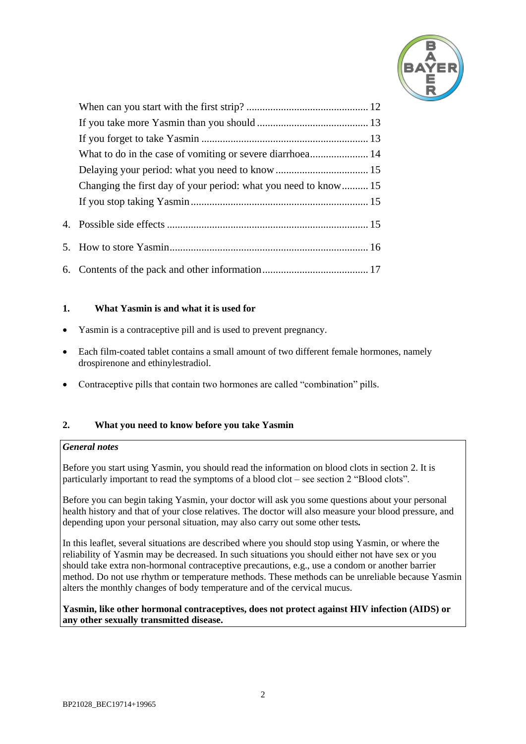

| Changing the first day of your period: what you need to know 15 |  |
|-----------------------------------------------------------------|--|
|                                                                 |  |
|                                                                 |  |
|                                                                 |  |
|                                                                 |  |

### <span id="page-1-0"></span>**1. What Yasmin is and what it is used for**

- Yasmin is a contraceptive pill and is used to prevent pregnancy.
- Each film-coated tablet contains a small amount of two different female hormones, namely drospirenone and ethinylestradiol.
- Contraceptive pills that contain two hormones are called "combination" pills.

### <span id="page-1-1"></span>**2. What you need to know before you take Yasmin**

### *General notes*

Before you start using Yasmin, you should read the information on blood clots in section 2. It is particularly important to read the symptoms of a blood clot – see section 2 "Blood clots".

Before you can begin taking Yasmin, your doctor will ask you some questions about your personal health history and that of your close relatives. The doctor will also measure your blood pressure, and depending upon your personal situation, may also carry out some other tests*.*

In this leaflet, several situations are described where you should stop using Yasmin, or where the reliability of Yasmin may be decreased. In such situations you should either not have sex or you should take extra non-hormonal contraceptive precautions, e.g., use a condom or another barrier method. Do not use rhythm or temperature methods. These methods can be unreliable because Yasmin alters the monthly changes of body temperature and of the cervical mucus.

### **Yasmin, like other hormonal contraceptives, does not protect against HIV infection (AIDS) or any other sexually transmitted disease.**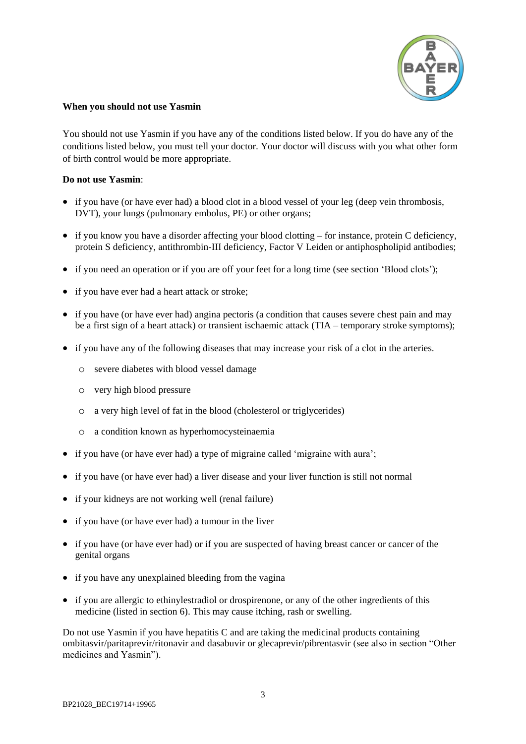

### <span id="page-2-0"></span>**When you should not use Yasmin**

You should not use Yasmin if you have any of the conditions listed below. If you do have any of the conditions listed below, you must tell your doctor. Your doctor will discuss with you what other form of birth control would be more appropriate.

### **Do not use Yasmin**:

- if you have (or have ever had) a blood clot in a blood vessel of your leg (deep vein thrombosis, DVT), your lungs (pulmonary embolus, PE) or other organs;
- if you know you have a disorder affecting your blood clotting for instance, protein C deficiency, protein S deficiency, antithrombin-III deficiency, Factor V Leiden or antiphospholipid antibodies;
- if you need an operation or if you are off your feet for a long time (see section 'Blood clots');
- if you have ever had a heart attack or stroke;
- if you have (or have ever had) angina pectoris (a condition that causes severe chest pain and may be a first sign of a heart attack) or transient ischaemic attack (TIA – temporary stroke symptoms);
- if you have any of the following diseases that may increase your risk of a clot in the arteries.
	- o severe diabetes with blood vessel damage
	- o very high blood pressure
	- o a very high level of fat in the blood (cholesterol or triglycerides)
	- o a condition known as hyperhomocysteinaemia
- if you have (or have ever had) a type of migraine called 'migraine with aura';
- if you have (or have ever had) a liver disease and your liver function is still not normal
- if your kidneys are not working well (renal failure)
- if you have (or have ever had) a tumour in the liver
- if you have (or have ever had) or if you are suspected of having breast cancer or cancer of the genital organs
- if you have any unexplained bleeding from the vagina
- if you are allergic to ethinylestradiol or drospirenone, or any of the other ingredients of this medicine (listed in section 6). This may cause itching, rash or swelling.

Do not use Yasmin if you have hepatitis C and are taking the medicinal products containing ombitasvir/paritaprevir/ritonavir and dasabuvir or glecaprevir/pibrentasvir (see also in section "Other medicines and Yasmin").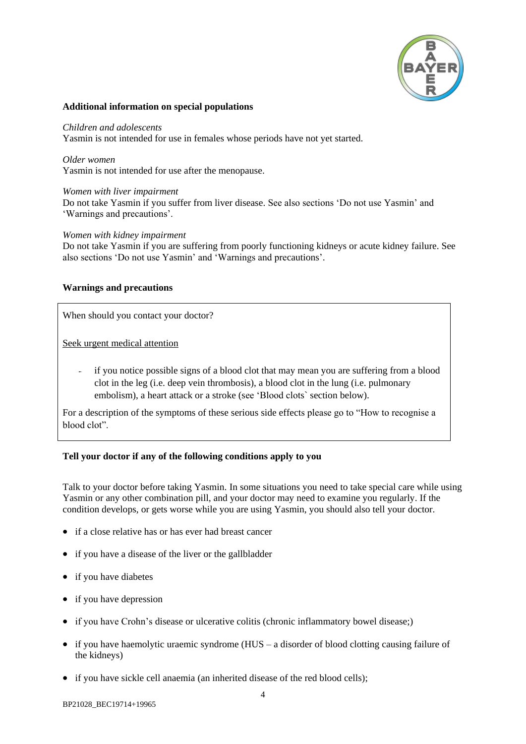

### **Additional information on special populations**

#### *Children and adolescents*

Yasmin is not intended for use in females whose periods have not yet started.

*Older women*

Yasmin is not intended for use after the menopause.

*Women with liver impairment*

Do not take Yasmin if you suffer from liver disease. See also sections 'Do not use Yasmin' and 'Warnings and precautions'.

*Women with kidney impairment*

Do not take Yasmin if you are suffering from poorly functioning kidneys or acute kidney failure. See also sections 'Do not use Yasmin' and 'Warnings and precautions'.

### <span id="page-3-0"></span>**Warnings and precautions**

When should you contact your doctor?

Seek urgent medical attention

- if you notice possible signs of a blood clot that may mean you are suffering from a blood clot in the leg (i.e. deep vein thrombosis), a blood clot in the lung (i.e. pulmonary embolism), a heart attack or a stroke (see 'Blood clots` section below).

For a description of the symptoms of these serious side effects please go to "How to recognise a blood clot".

### **Tell your doctor if any of the following conditions apply to you**

Talk to your doctor before taking Yasmin. In some situations you need to take special care while using Yasmin or any other combination pill, and your doctor may need to examine you regularly. If the condition develops, or gets worse while you are using Yasmin, you should also tell your doctor.

- if a close relative has or has ever had breast cancer
- if you have a disease of the liver or the gallbladder
- if you have diabetes
- if you have depression
- if you have Crohn's disease or ulcerative colitis (chronic inflammatory bowel disease;)
- $\bullet$  if you have haemolytic uraemic syndrome (HUS a disorder of blood clotting causing failure of the kidneys)
- if you have sickle cell anaemia (an inherited disease of the red blood cells);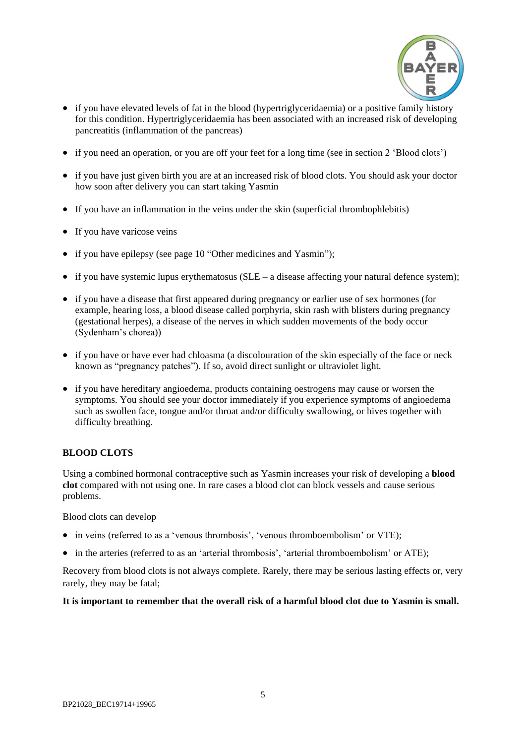

- if you have elevated levels of fat in the blood (hypertriglyceridaemia) or a positive family history for this condition. Hypertriglyceridaemia has been associated with an increased risk of developing pancreatitis (inflammation of the pancreas)
- if you need an operation, or you are off your feet for a long time (see in section 2 'Blood clots')
- if you have just given birth you are at an increased risk of blood clots. You should ask your doctor how soon after delivery you can start taking Yasmin
- If you have an inflammation in the veins under the skin (superficial thrombophlebitis)
- If you have varicose veins
- if you have epilepsy (see page [10](#page-9-4) "Other medicines and Yasmin");
- $\bullet$  if you have systemic lupus erythematosus (SLE a disease affecting your natural defence system);
- if you have a disease that first appeared during pregnancy or earlier use of sex hormones (for example, hearing loss, a blood disease called porphyria, skin rash with blisters during pregnancy (gestational herpes), a disease of the nerves in which sudden movements of the body occur (Sydenham's chorea))
- if you have or have ever had chloasma (a discolouration of the skin especially of the face or neck known as "pregnancy patches"). If so, avoid direct sunlight or ultraviolet light.
- if you have hereditary angioedema, products containing oestrogens may cause or worsen the symptoms. You should see your doctor immediately if you experience symptoms of angioedema such as swollen face, tongue and/or throat and/or difficulty swallowing, or hives together with difficulty breathing.

### <span id="page-4-0"></span>**BLOOD CLOTS**

Using a combined hormonal contraceptive such as Yasmin increases your risk of developing a **blood clot** compared with not using one. In rare cases a blood clot can block vessels and cause serious problems.

Blood clots can develop

- in veins (referred to as a 'venous thrombosis', 'venous thromboembolism' or VTE);
- in the arteries (referred to as an 'arterial thrombosis', 'arterial thromboembolism' or ATE);

Recovery from blood clots is not always complete. Rarely, there may be serious lasting effects or, very rarely, they may be fatal;

**It is important to remember that the overall risk of a harmful blood clot due to Yasmin is small.**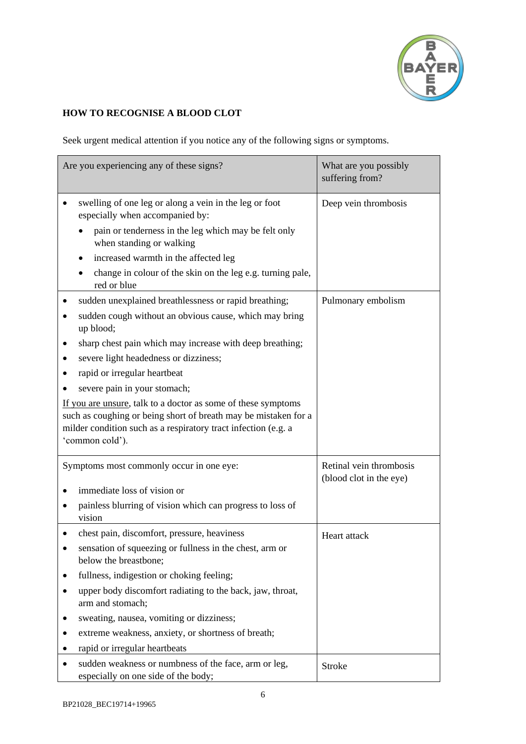

# **HOW TO RECOGNISE A BLOOD CLOT**

Seek urgent medical attention if you notice any of the following signs or symptoms.

| Are you experiencing any of these signs?                                                                                                                                                                                                                                                                                                                                                                                                                                                                                   | What are you possibly<br>suffering from?           |
|----------------------------------------------------------------------------------------------------------------------------------------------------------------------------------------------------------------------------------------------------------------------------------------------------------------------------------------------------------------------------------------------------------------------------------------------------------------------------------------------------------------------------|----------------------------------------------------|
| swelling of one leg or along a vein in the leg or foot<br>especially when accompanied by:<br>pain or tenderness in the leg which may be felt only<br>when standing or walking<br>increased warmth in the affected leg<br>change in colour of the skin on the leg e.g. turning pale,<br>red or blue                                                                                                                                                                                                                         | Deep vein thrombosis                               |
| sudden unexplained breathlessness or rapid breathing;<br>sudden cough without an obvious cause, which may bring<br>up blood;<br>sharp chest pain which may increase with deep breathing;<br>severe light headedness or dizziness;<br>rapid or irregular heartbeat<br>severe pain in your stomach;<br>If you are unsure, talk to a doctor as some of these symptoms<br>such as coughing or being short of breath may be mistaken for a<br>milder condition such as a respiratory tract infection (e.g. a<br>'common cold'). | Pulmonary embolism                                 |
| Symptoms most commonly occur in one eye:<br>immediate loss of vision or<br>painless blurring of vision which can progress to loss of<br>vision                                                                                                                                                                                                                                                                                                                                                                             | Retinal vein thrombosis<br>(blood clot in the eye) |
| chest pain, discomfort, pressure, heaviness<br>sensation of squeezing or fullness in the chest, arm or<br>below the breastbone;<br>fullness, indigestion or choking feeling;<br>upper body discomfort radiating to the back, jaw, throat,<br>arm and stomach;<br>sweating, nausea, vomiting or dizziness;<br>extreme weakness, anxiety, or shortness of breath;<br>rapid or irregular heartbeats                                                                                                                           | Heart attack                                       |
| sudden weakness or numbness of the face, arm or leg,<br>especially on one side of the body;                                                                                                                                                                                                                                                                                                                                                                                                                                | <b>Stroke</b>                                      |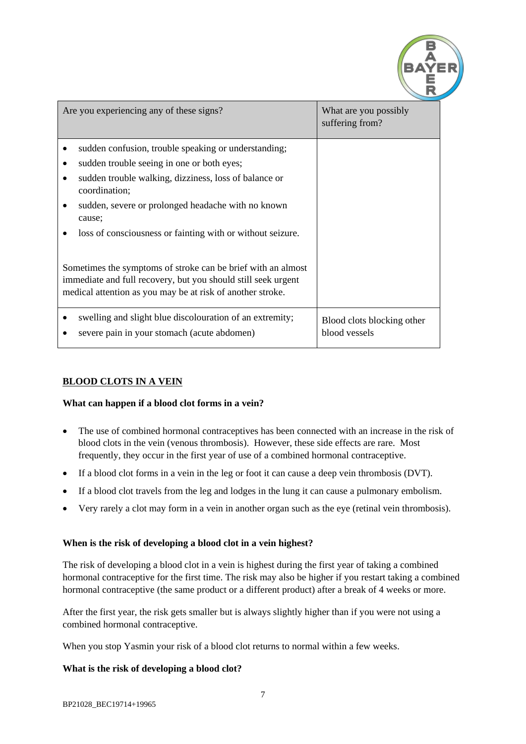

| Are you experiencing any of these signs?                                                                                                                                                                                                                                                                        | What are you possibly<br>suffering from?    |
|-----------------------------------------------------------------------------------------------------------------------------------------------------------------------------------------------------------------------------------------------------------------------------------------------------------------|---------------------------------------------|
| sudden confusion, trouble speaking or understanding;<br>sudden trouble seeing in one or both eyes;<br>٠<br>sudden trouble walking, dizziness, loss of balance or<br>coordination;<br>sudden, severe or prolonged headache with no known<br>cause;<br>loss of consciousness or fainting with or without seizure. |                                             |
| Sometimes the symptoms of stroke can be brief with an almost<br>immediate and full recovery, but you should still seek urgent<br>medical attention as you may be at risk of another stroke.                                                                                                                     |                                             |
| swelling and slight blue discolouration of an extremity;<br>severe pain in your stomach (acute abdomen)                                                                                                                                                                                                         | Blood clots blocking other<br>blood vessels |

# **BLOOD CLOTS IN A VEIN**

### **What can happen if a blood clot forms in a vein?**

- The use of combined hormonal contraceptives has been connected with an increase in the risk of blood clots in the vein (venous thrombosis). However, these side effects are rare. Most frequently, they occur in the first year of use of a combined hormonal contraceptive.
- If a blood clot forms in a vein in the leg or foot it can cause a deep vein thrombosis (DVT).
- If a blood clot travels from the leg and lodges in the lung it can cause a pulmonary embolism.
- Very rarely a clot may form in a vein in another organ such as the eye (retinal vein thrombosis).

### **When is the risk of developing a blood clot in a vein highest?**

The risk of developing a blood clot in a vein is highest during the first year of taking a combined hormonal contraceptive for the first time. The risk may also be higher if you restart taking a combined hormonal contraceptive (the same product or a different product) after a break of 4 weeks or more.

After the first year, the risk gets smaller but is always slightly higher than if you were not using a combined hormonal contraceptive.

When you stop Yasmin your risk of a blood clot returns to normal within a few weeks.

### **What is the risk of developing a blood clot?**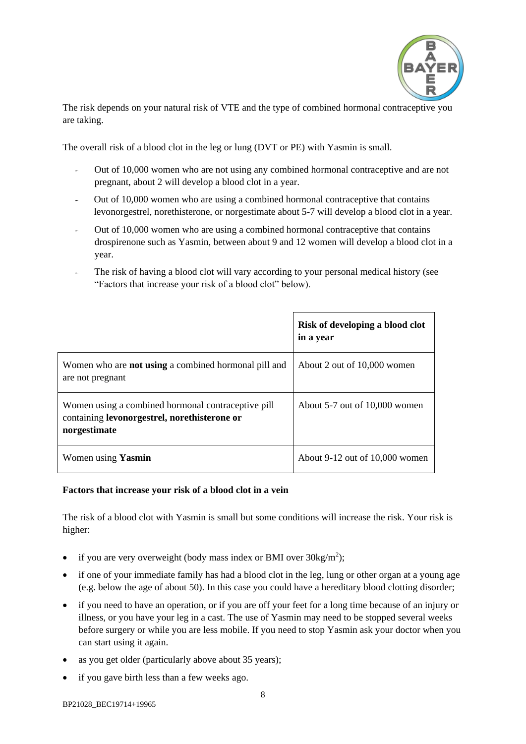

The risk depends on your natural risk of VTE and the type of combined hormonal contraceptive you are taking.

The overall risk of a blood clot in the leg or lung (DVT or PE) with Yasmin is small.

- Out of 10,000 women who are not using any combined hormonal contraceptive and are not pregnant, about 2 will develop a blood clot in a year.
- Out of 10,000 women who are using a combined hormonal contraceptive that contains levonorgestrel, norethisterone, or norgestimate about 5-7 will develop a blood clot in a year.
- Out of 10,000 women who are using a combined hormonal contraceptive that contains drospirenone such as Yasmin, between about 9 and 12 women will develop a blood clot in a year.
- The risk of having a blood clot will vary according to your personal medical history (see "Factors that increase your risk of a blood clot" below).

|                                                                                                                    | Risk of developing a blood clot<br>in a year |
|--------------------------------------------------------------------------------------------------------------------|----------------------------------------------|
| Women who are <b>not using</b> a combined hormonal pill and<br>are not pregnant                                    | About 2 out of 10,000 women                  |
| Women using a combined hormonal contraceptive pill<br>containing levonorgestrel, norethisterone or<br>norgestimate | About $5-7$ out of $10,000$ women            |
| Women using <b>Yasmin</b>                                                                                          | About $9-12$ out of $10,000$ women           |

### **Factors that increase your risk of a blood clot in a vein**

The risk of a blood clot with Yasmin is small but some conditions will increase the risk. Your risk is higher:

- if you are very overweight (body mass index or BMI over  $30\text{kg/m}^2$ );
- if one of your immediate family has had a blood clot in the leg, lung or other organ at a young age (e.g. below the age of about 50). In this case you could have a hereditary blood clotting disorder;
- if you need to have an operation, or if you are off your feet for a long time because of an injury or illness, or you have your leg in a cast. The use of Yasmin may need to be stopped several weeks before surgery or while you are less mobile. If you need to stop Yasmin ask your doctor when you can start using it again.
- as you get older (particularly above about 35 years);
- if you gave birth less than a few weeks ago.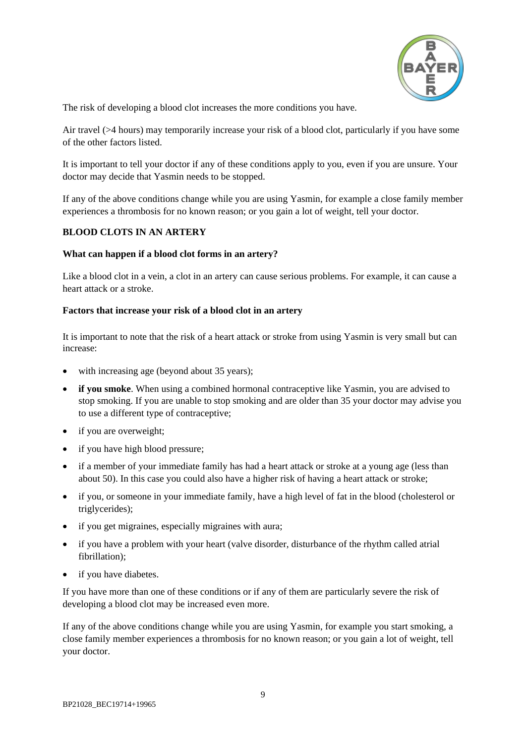

The risk of developing a blood clot increases the more conditions you have.

Air travel (>4 hours) may temporarily increase your risk of a blood clot, particularly if you have some of the other factors listed.

It is important to tell your doctor if any of these conditions apply to you, even if you are unsure. Your doctor may decide that Yasmin needs to be stopped.

If any of the above conditions change while you are using Yasmin, for example a close family member experiences a thrombosis for no known reason; or you gain a lot of weight, tell your doctor.

## **BLOOD CLOTS IN AN ARTERY**

### **What can happen if a blood clot forms in an artery?**

Like a blood clot in a vein, a clot in an artery can cause serious problems. For example, it can cause a heart attack or a stroke.

#### **Factors that increase your risk of a blood clot in an artery**

It is important to note that the risk of a heart attack or stroke from using Yasmin is very small but can increase:

- with increasing age (beyond about 35 years);
- **if you smoke**. When using a combined hormonal contraceptive like Yasmin, you are advised to stop smoking. If you are unable to stop smoking and are older than 35 your doctor may advise you to use a different type of contraceptive;
- if you are overweight;
- if you have high blood pressure;
- if a member of your immediate family has had a heart attack or stroke at a young age (less than about 50). In this case you could also have a higher risk of having a heart attack or stroke;
- if you, or someone in your immediate family, have a high level of fat in the blood (cholesterol or triglycerides);
- if you get migraines, especially migraines with aura;
- if you have a problem with your heart (valve disorder, disturbance of the rhythm called atrial fibrillation);
- if you have diabetes.

If you have more than one of these conditions or if any of them are particularly severe the risk of developing a blood clot may be increased even more.

If any of the above conditions change while you are using Yasmin, for example you start smoking, a close family member experiences a thrombosis for no known reason; or you gain a lot of weight, tell your doctor.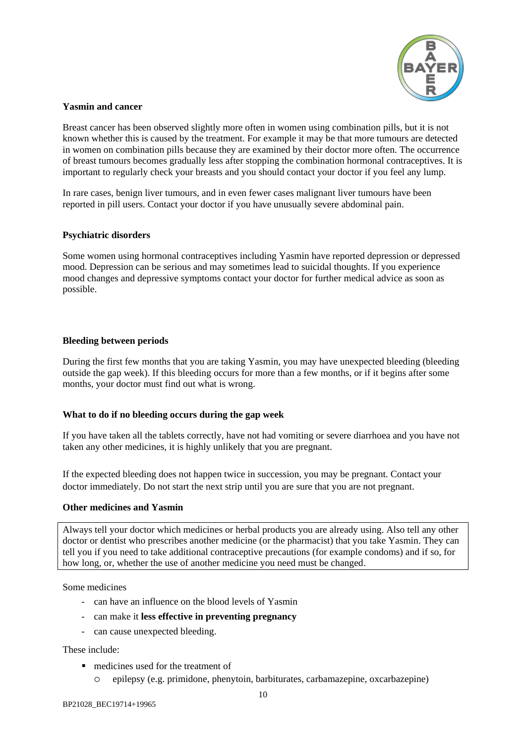

### <span id="page-9-0"></span>**Yasmin and cancer**

Breast cancer has been observed slightly more often in women using combination pills, but it is not known whether this is caused by the treatment. For example it may be that more tumours are detected in women on combination pills because they are examined by their doctor more often. The occurrence of breast tumours becomes gradually less after stopping the combination hormonal contraceptives. It is important to regularly check your breasts and you should contact your doctor if you feel any lump.

In rare cases, benign liver tumours, and in even fewer cases malignant liver tumours have been reported in pill users. Contact your doctor if you have unusually severe abdominal pain.

### <span id="page-9-1"></span>**Psychiatric disorders**

Some women using hormonal contraceptives including Yasmin have reported depression or depressed mood. Depression can be serious and may sometimes lead to suicidal thoughts. If you experience mood changes and depressive symptoms contact your doctor for further medical advice as soon as possible.

### <span id="page-9-2"></span>**Bleeding between periods**

During the first few months that you are taking Yasmin, you may have unexpected bleeding (bleeding outside the gap week). If this bleeding occurs for more than a few months, or if it begins after some months, your doctor must find out what is wrong.

### <span id="page-9-3"></span>**What to do if no bleeding occurs during the gap week**

If you have taken all the tablets correctly, have not had vomiting or severe diarrhoea and you have not taken any other medicines, it is highly unlikely that you are pregnant.

If the expected bleeding does not happen twice in succession, you may be pregnant. Contact your doctor immediately. Do not start the next strip until you are sure that you are not pregnant.

### <span id="page-9-4"></span>**Other medicines and Yasmin**

Always tell your doctor which medicines or herbal products you are already using. Also tell any other doctor or dentist who prescribes another medicine (or the pharmacist) that you take Yasmin. They can tell you if you need to take additional contraceptive precautions (for example condoms) and if so, for how long, or, whether the use of another medicine you need must be changed.

Some medicines

- can have an influence on the blood levels of Yasmin
- can make it **less effective in preventing pregnancy**
- can cause unexpected bleeding.

### These include:

- medicines used for the treatment of
	- epilepsy (e.g. primidone, phenytoin, barbiturates, carbamazepine, oxcarbazepine)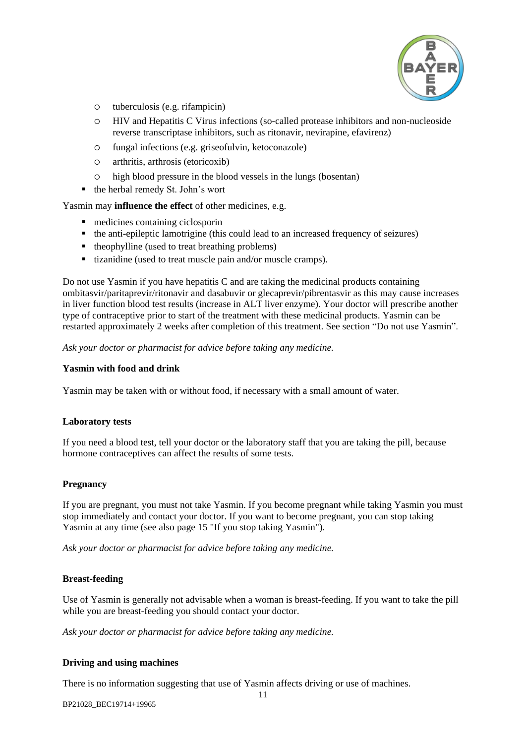

- tuberculosis (e.g. rifampicin)
- HIV and Hepatitis C Virus infections (so-called protease inhibitors and non-nucleoside reverse transcriptase inhibitors, such as ritonavir, nevirapine, efavirenz)
- fungal infections (e.g. griseofulvin, ketoconazole)
- arthritis, arthrosis (etoricoxib)
- high blood pressure in the blood vessels in the lungs (bosentan)
- the herbal remedy St. John's wort

Yasmin may **influence the effect** of other medicines, e.g.

- medicines containing ciclosporin
- the anti-epileptic lamotrigine (this could lead to an increased frequency of seizures)
- theophylline (used to treat breathing problems)
- $\blacksquare$  tizanidine (used to treat muscle pain and/or muscle cramps).

Do not use Yasmin if you have hepatitis C and are taking the medicinal products containing ombitasvir/paritaprevir/ritonavir and dasabuvir or glecaprevir/pibrentasvir as this may cause increases in liver function blood test results (increase in ALT liver enzyme). Your doctor will prescribe another type of contraceptive prior to start of the treatment with these medicinal products. Yasmin can be restarted approximately 2 weeks after completion of this treatment. See section "Do not use Yasmin".

*Ask your doctor or pharmacist for advice before taking any medicine.*

## <span id="page-10-0"></span>**Yasmin with food and drink**

Yasmin may be taken with or without food, if necessary with a small amount of water.

### <span id="page-10-1"></span>**Laboratory tests**

If you need a blood test, tell your doctor or the laboratory staff that you are taking the pill, because hormone contraceptives can affect the results of some tests.

### <span id="page-10-2"></span>**Pregnancy**

If you are pregnant, you must not take Yasmin. If you become pregnant while taking Yasmin you must stop immediately and contact your doctor. If you want to become pregnant, you can stop taking Yasmin at any time (see also page [15](#page-14-2) "If you stop taking Yasmin").

*Ask your doctor or pharmacist for advice before taking any medicine.*

### <span id="page-10-3"></span>**Breast-feeding**

Use of Yasmin is generally not advisable when a woman is breast-feeding. If you want to take the pill while you are breast-feeding you should contact your doctor.

*Ask your doctor or pharmacist for advice before taking any medicine.*

### <span id="page-10-4"></span>**Driving and using machines**

There is no information suggesting that use of Yasmin affects driving or use of machines.

BP21028\_BEC19714+19965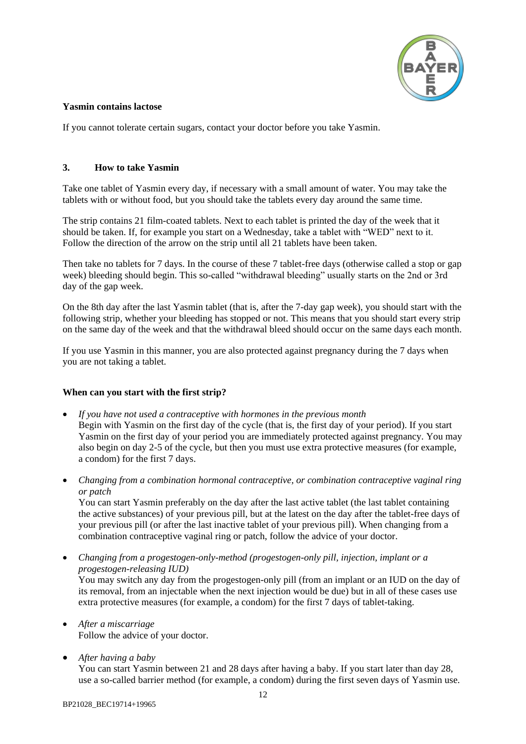

### <span id="page-11-0"></span>**Yasmin contains lactose**

If you cannot tolerate certain sugars, contact your doctor before you take Yasmin.

### <span id="page-11-1"></span>**3. How to take Yasmin**

Take one tablet of Yasmin every day, if necessary with a small amount of water. You may take the tablets with or without food, but you should take the tablets every day around the same time.

The strip contains 21 film-coated tablets. Next to each tablet is printed the day of the week that it should be taken. If, for example you start on a Wednesday, take a tablet with "WED" next to it. Follow the direction of the arrow on the strip until all 21 tablets have been taken.

Then take no tablets for 7 days. In the course of these 7 tablet-free days (otherwise called a stop or gap week) bleeding should begin. This so-called "withdrawal bleeding" usually starts on the 2nd or 3rd day of the gap week.

On the 8th day after the last Yasmin tablet (that is, after the 7-day gap week), you should start with the following strip, whether your bleeding has stopped or not. This means that you should start every strip on the same day of the week and that the withdrawal bleed should occur on the same days each month.

If you use Yasmin in this manner, you are also protected against pregnancy during the 7 days when you are not taking a tablet.

### <span id="page-11-2"></span>**When can you start with the first strip?**

- *If you have not used a contraceptive with hormones in the previous month* Begin with Yasmin on the first day of the cycle (that is, the first day of your period). If you start Yasmin on the first day of your period you are immediately protected against pregnancy. You may also begin on day 2-5 of the cycle, but then you must use extra protective measures (for example, a condom) for the first 7 days.
- *Changing from a combination hormonal contraceptive, or combination contraceptive vaginal ring or patch*

You can start Yasmin preferably on the day after the last active tablet (the last tablet containing the active substances) of your previous pill, but at the latest on the day after the tablet-free days of your previous pill (or after the last inactive tablet of your previous pill). When changing from a combination contraceptive vaginal ring or patch, follow the advice of your doctor.

- *Changing from a progestogen-only-method (progestogen-only pill, injection, implant or a progestogen-releasing IUD)* You may switch any day from the progestogen-only pill (from an implant or an IUD on the day of its removal, from an injectable when the next injection would be due) but in all of these cases use extra protective measures (for example, a condom) for the first 7 days of tablet-taking.
- *After a miscarriage* Follow the advice of your doctor.
- *After having a baby*

You can start Yasmin between 21 and 28 days after having a baby. If you start later than day 28, use a so-called barrier method (for example, a condom) during the first seven days of Yasmin use.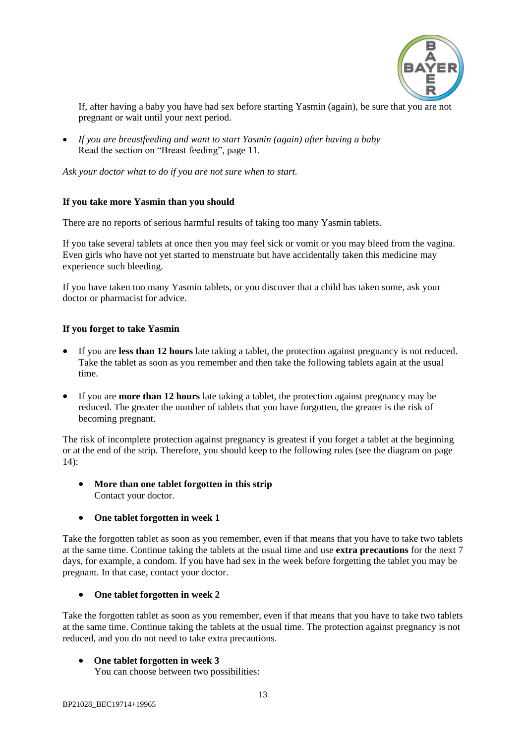

If, after having a baby you have had sex before starting Yasmin (again), be sure that you are not pregnant or wait until your next period.

 *If you are breastfeeding and want to start Yasmin (again) after having a baby* Read the section on "Breast feeding", page [11.](#page-10-3)

*Ask your doctor what to do if you are not sure when to start.*

### <span id="page-12-0"></span>**If you take more Yasmin than you should**

There are no reports of serious harmful results of taking too many Yasmin tablets.

If you take several tablets at once then you may feel sick or vomit or you may bleed from the vagina. Even girls who have not yet started to menstruate but have accidentally taken this medicine may experience such bleeding.

If you have taken too many Yasmin tablets, or you discover that a child has taken some, ask your doctor or pharmacist for advice.

### <span id="page-12-1"></span>**If you forget to take Yasmin**

- If you are **less than 12 hours** late taking a tablet, the protection against pregnancy is not reduced. Take the tablet as soon as you remember and then take the following tablets again at the usual time.
- If you are **more than 12 hours** late taking a tablet, the protection against pregnancy may be reduced. The greater the number of tablets that you have forgotten, the greater is the risk of becoming pregnant.

The risk of incomplete protection against pregnancy is greatest if you forget a tablet at the beginning or at the end of the strip. Therefore, you should keep to the following rules (see the diagram on page  $14$ :

- **More than one tablet forgotten in this strip** Contact your doctor.
- **One tablet forgotten in week 1**

Take the forgotten tablet as soon as you remember, even if that means that you have to take two tablets at the same time. Continue taking the tablets at the usual time and use **extra precautions** for the next 7 days, for example, a condom. If you have had sex in the week before forgetting the tablet you may be pregnant. In that case, contact your doctor.

### **One tablet forgotten in week 2**

Take the forgotten tablet as soon as you remember, even if that means that you have to take two tablets at the same time. Continue taking the tablets at the usual time. The protection against pregnancy is not reduced, and you do not need to take extra precautions.

### **One tablet forgotten in week 3**

You can choose between two possibilities: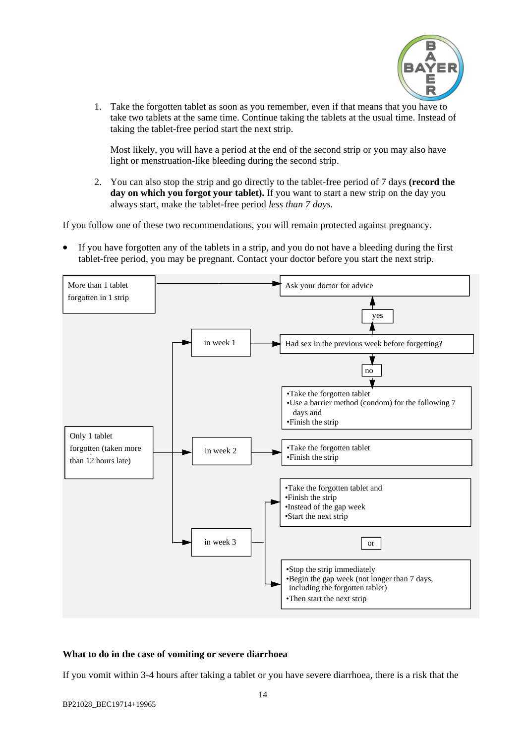

1. Take the forgotten tablet as soon as you remember, even if that means that you have to take two tablets at the same time. Continue taking the tablets at the usual time. Instead of taking the tablet-free period start the next strip.

Most likely, you will have a period at the end of the second strip or you may also have light or menstruation-like bleeding during the second strip.

2. You can also stop the strip and go directly to the tablet-free period of 7 days **(record the day on which you forgot your tablet).** If you want to start a new strip on the day you always start, make the tablet-free period *less than 7 days.*

If you follow one of these two recommendations, you will remain protected against pregnancy.

 If you have forgotten any of the tablets in a strip, and you do not have a bleeding during the first tablet-free period, you may be pregnant. Contact your doctor before you start the next strip.

<span id="page-13-1"></span>

### <span id="page-13-0"></span>**What to do in the case of vomiting or severe diarrhoea**

If you vomit within 3-4 hours after taking a tablet or you have severe diarrhoea, there is a risk that the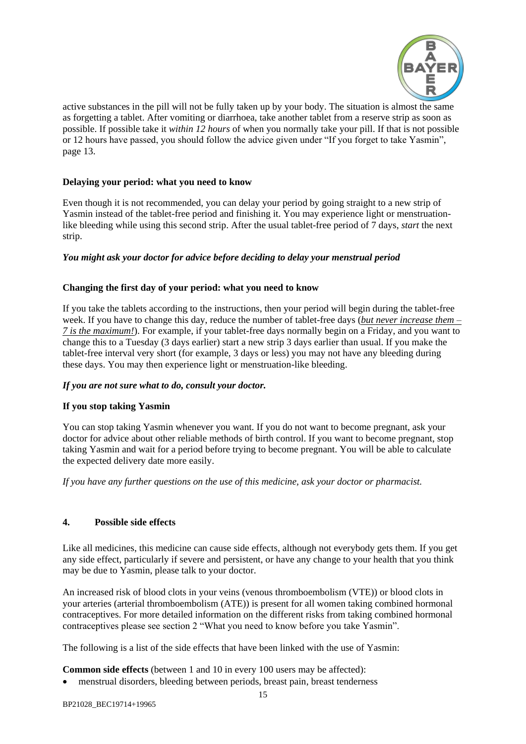

active substances in the pill will not be fully taken up by your body. The situation is almost the same as forgetting a tablet. After vomiting or diarrhoea, take another tablet from a reserve strip as soon as possible. If possible take it *within 12 hours* of when you normally take your pill. If that is not possible or 12 hours have passed, you should follow the advice given under "If you forget to take Yasmin", page [13.](#page-12-1)

### <span id="page-14-0"></span>**Delaying your period: what you need to know**

Even though it is not recommended, you can delay your period by going straight to a new strip of Yasmin instead of the tablet-free period and finishing it. You may experience light or menstruationlike bleeding while using this second strip. After the usual tablet-free period of 7 days, *start* the next strip.

### *You might ask your doctor for advice before deciding to delay your menstrual period*

### <span id="page-14-1"></span>**Changing the first day of your period: what you need to know**

If you take the tablets according to the instructions, then your period will begin during the tablet-free week. If you have to change this day, reduce the number of tablet-free days (*but never increase them – 7 is the maximum!*). For example, if your tablet-free days normally begin on a Friday, and you want to change this to a Tuesday (3 days earlier) start a new strip 3 days earlier than usual. If you make the tablet-free interval very short (for example, 3 days or less) you may not have any bleeding during these days. You may then experience light or menstruation-like bleeding.

### *If you are not sure what to do, consult your doctor.*

### <span id="page-14-2"></span>**If you stop taking Yasmin**

You can stop taking Yasmin whenever you want. If you do not want to become pregnant, ask your doctor for advice about other reliable methods of birth control. If you want to become pregnant, stop taking Yasmin and wait for a period before trying to become pregnant. You will be able to calculate the expected delivery date more easily.

*If you have any further questions on the use of this medicine, ask your doctor or pharmacist.*

### <span id="page-14-3"></span>**4. Possible side effects**

Like all medicines, this medicine can cause side effects, although not everybody gets them. If you get any side effect, particularly if severe and persistent, or have any change to your health that you think may be due to Yasmin, please talk to your doctor.

An increased risk of blood clots in your veins (venous thromboembolism (VTE)) or blood clots in your arteries (arterial thromboembolism (ATE)) is present for all women taking combined hormonal contraceptives. For more detailed information on the different risks from taking combined hormonal contraceptives please see section 2 "What you need to know before you take Yasmin".

The following is a list of the side effects that have been linked with the use of Yasmin:

**Common side effects** (between 1 and 10 in every 100 users may be affected):

menstrual disorders, bleeding between periods, breast pain, breast tenderness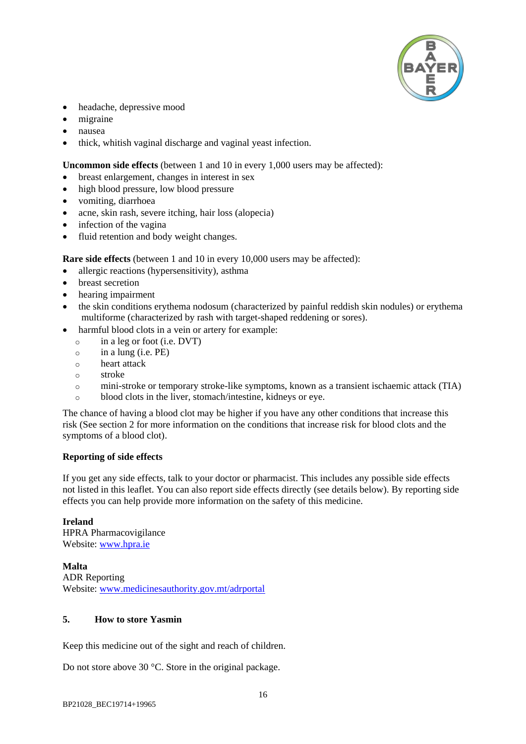

- headache, depressive mood
- migraine
- nausea
- thick, whitish vaginal discharge and vaginal yeast infection.

**Uncommon side effects** (between 1 and 10 in every 1,000 users may be affected):

- breast enlargement, changes in interest in sex
- high blood pressure, low blood pressure
- vomiting, diarrhoea
- acne, skin rash, severe itching, hair loss (alopecia)
- infection of the vagina
- fluid retention and body weight changes.

**Rare side effects** (between 1 and 10 in every 10,000 users may be affected):

- allergic reactions (hypersensitivity), asthma
- breast secretion
- hearing impairment
- the skin conditions erythema nodosum (characterized by painful reddish skin nodules) or erythema multiforme (characterized by rash with target-shaped reddening or sores).
- harmful blood clots in a vein or artery for example:
	- o in a leg or foot (i.e. DVT)
	- $\circ$  in a lung (i.e. PE)
	- o heart attack
	- o stroke
	- o mini-stroke or temporary stroke-like symptoms, known as a transient ischaemic attack (TIA)
	- o blood clots in the liver, stomach/intestine, kidneys or eye.

The chance of having a blood clot may be higher if you have any other conditions that increase this risk (See section 2 for more information on the conditions that increase risk for blood clots and the symptoms of a blood clot).

### **Reporting of side effects**

If you get any side effects, talk to your doctor or pharmacist. This includes any possible side effects not listed in this leaflet. You can also report side effects directly (see details below). By reporting side effects you can help provide more information on the safety of this medicine.

### **Ireland**

HPRA Pharmacovigilance Website: [www.hpra.ie](http://www.hpra.ie/)

### **Malta**

ADR Reporting Website: [www.medicinesauthority.gov.mt/adrportal](http://www.medicinesauthority.gov.mt/adrportal)

### <span id="page-15-0"></span>**5. How to store Yasmin**

Keep this medicine out of the sight and reach of children.

Do not store above 30 °C. Store in the original package.